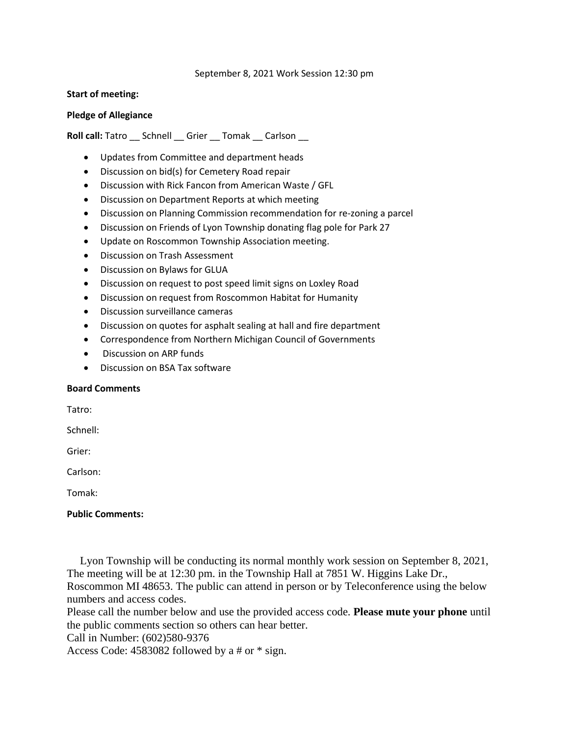September 8, 2021 Work Session 12:30 pm

## **Start of meeting:**

## **Pledge of Allegiance**

Roll call: Tatro \_\_ Schnell \_\_ Grier \_\_ Tomak \_\_ Carlson \_\_

- Updates from Committee and department heads
- Discussion on bid(s) for Cemetery Road repair
- Discussion with Rick Fancon from American Waste / GFL
- Discussion on Department Reports at which meeting
- Discussion on Planning Commission recommendation for re-zoning a parcel
- Discussion on Friends of Lyon Township donating flag pole for Park 27
- Update on Roscommon Township Association meeting.
- Discussion on Trash Assessment
- Discussion on Bylaws for GLUA
- Discussion on request to post speed limit signs on Loxley Road
- Discussion on request from Roscommon Habitat for Humanity
- Discussion surveillance cameras
- Discussion on quotes for asphalt sealing at hall and fire department
- Correspondence from Northern Michigan Council of Governments
- Discussion on ARP funds
- Discussion on BSA Tax software

## **Board Comments**

Tatro:

Schnell:

Grier:

Carlson:

Tomak:

## **Public Comments:**

Lyon Township will be conducting its normal monthly work session on September 8, 2021, The meeting will be at 12:30 pm. in the Township Hall at 7851 W. Higgins Lake Dr.,

Roscommon MI 48653. The public can attend in person or by Teleconference using the below numbers and access codes.

Please call the number below and use the provided access code. **Please mute your phone** until the public comments section so others can hear better.

Call in Number: (602)580-9376

Access Code: 4583082 followed by a # or \* sign.